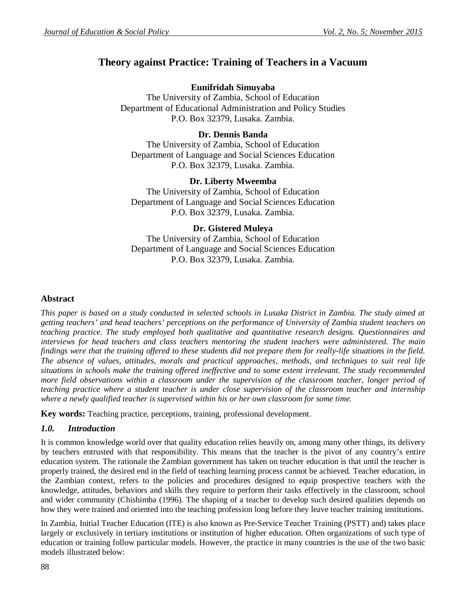# **Theory against Practice: Training of Teachers in a Vacuum**

# **Eunifridah Simuyaba**

The University of Zambia, School of Education Department of Educational Administration and Policy Studies P.O. Box 32379, Lusaka. Zambia.

# **Dr. Dennis Banda**

The University of Zambia, School of Education Department of Language and Social Sciences Education P.O. Box 32379, Lusaka. Zambia.

# **Dr. Liberty Mweemba**

The University of Zambia, School of Education Department of Language and Social Sciences Education P.O. Box 32379, Lusaka. Zambia.

# **Dr. Gistered Muleya**

The University of Zambia, School of Education Department of Language and Social Sciences Education P.O. Box 32379, Lusaka. Zambia.

### **Abstract**

*This paper is based on a study conducted in selected schools in Lusaka District in Zambia. The study aimed at getting teachers' and head teachers' perceptions on the performance of University of Zambia student teachers on teaching practice. The study employed both qualitative and quantitative research designs. Questionnaires and interviews for head teachers and class teachers mentoring the student teachers were administered. The main findings were that the training offered to these students did not prepare them for really-life situations in the field. The absence of values, attitudes, morals and practical approaches, methods, and techniques to suit real life situations in schools make the training offered ineffective and to some extent irrelevant. The study recommended more field observations within a classroom under the supervision of the classroom teacher, longer period of teaching practice where a student teacher is under close supervision of the classroom teacher and internship where a newly qualified teacher is supervised within his or her own classroom for some time.* 

**Key words:** Teaching practice, perceptions, training, professional development.

# *1.0. Introduction*

It is common knowledge world over that quality education relies heavily on, among many other things, its delivery by teachers entrusted with that responsibility. This means that the teacher is the pivot of any country's entire education system. The rationale the Zambian government has taken on teacher education is that until the teacher is properly trained, the desired end in the field of teaching learning process cannot be achieved. Teacher education, in the Zambian context, refers to the policies and procedures designed to equip prospective teachers with the knowledge, attitudes, behaviors and skills they require to perform their tasks effectively in the classroom, school and wider community (Chishimba (1996). The shaping of a teacher to develop such desired qualities depends on how they were trained and oriented into the teaching profession long before they leave teacher training institutions.

In Zambia, Initial Teacher Education (ITE) is also known as Pre-Service Teacher Training (PSTT) and) takes place largely or exclusively in tertiary institutions or institution of higher education. Often organizations of such type of education or training follow particular models. However, the practice in many countries is the use of the two basic models illustrated below: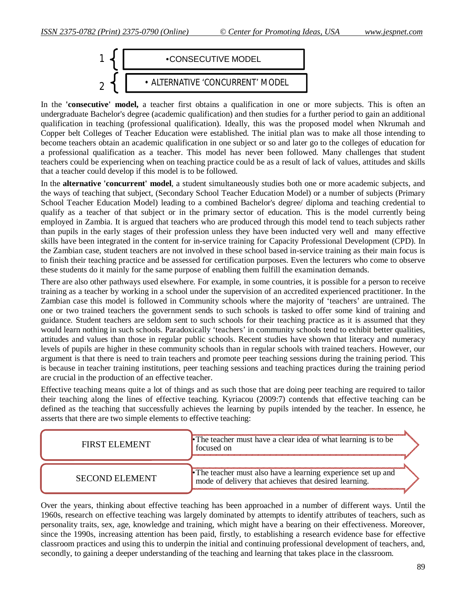

In the **'consecutive' model,** a teacher first obtains a qualification in one or more subjects. This is often an undergraduate Bachelor's degree (academic qualification) and then studies for a further period to gain an additional qualification in teaching (professional qualification). Ideally, this was the proposed model when Nkrumah and Copper belt Colleges of Teacher Education were established. The initial plan was to make all those intending to become teachers obtain an academic qualification in one subject or so and later go to the colleges of education for a professional qualification as a teacher. This model has never been followed. Many challenges that student teachers could be experiencing when on teaching practice could be as a result of lack of values, attitudes and skills that a teacher could develop if this model is to be followed.

In the **alternative 'concurrent' model**, a student simultaneously studies both one or more academic subjects, and the ways of teaching that subject, (Secondary School Teacher Education Model) or a number of subjects (Primary School Teacher Education Model) leading to a combined Bachelor's degree/ diploma and teaching credential to qualify as a teacher of that subject or in the primary sector of education. This is the model currently being employed in Zambia. It is argued that teachers who are produced through this model tend to teach subjects rather than pupils in the early stages of their profession unless they have been inducted very well and many effective skills have been integrated in the content for in-service training for Capacity Professional Development (CPD). In the Zambian case, student teachers are not involved in these school based in-service training as their main focus is to finish their teaching practice and be assessed for certification purposes. Even the lecturers who come to observe these students do it mainly for the same purpose of enabling them fulfill the examination demands.

There are also other pathways used elsewhere. For example, in some countries, it is possible for a person to receive training as a teacher by working in a school under the supervision of an accredited experienced practitioner. In the Zambian case this model is followed in Community schools where the majority of 'teachers' are untrained. The one or two trained teachers the government sends to such schools is tasked to offer some kind of training and guidance. Student teachers are seldom sent to such schools for their teaching practice as it is assumed that they would learn nothing in such schools. Paradoxically 'teachers' in community schools tend to exhibit better qualities, attitudes and values than those in regular public schools. Recent studies have shown that literacy and numeracy levels of pupils are higher in these community schools than in regular schools with trained teachers. However, our argument is that there is need to train teachers and promote peer teaching sessions during the training period. This is because in teacher training institutions, peer teaching sessions and teaching practices during the training period are crucial in the production of an effective teacher.

Effective teaching means quite a lot of things and as such those that are doing peer teaching are required to tailor their teaching along the lines of effective teaching. Kyriacou (2009:7) contends that effective teaching can be defined as the teaching that successfully achieves the learning by pupils intended by the teacher. In essence, he asserts that there are two simple elements to effective teaching:

| <b>FIRST ELEMENT</b>  | • The teacher must have a clear idea of what learning is to be<br>tocused on                                           |
|-----------------------|------------------------------------------------------------------------------------------------------------------------|
| <b>SECOND ELEMENT</b> | • The teacher must also have a learning experience set up and<br>mode of delivery that achieves that desired learning. |

Over the years, thinking about effective teaching has been approached in a number of different ways. Until the 1960s, research on effective teaching was largely dominated by attempts to identify attributes of teachers, such as personality traits, sex, age, knowledge and training, which might have a bearing on their effectiveness. Moreover, since the 1990s, increasing attention has been paid, firstly, to establishing a research evidence base for effective classroom practices and using this to underpin the initial and continuing professional development of teachers, and, secondly, to gaining a deeper understanding of the teaching and learning that takes place in the classroom.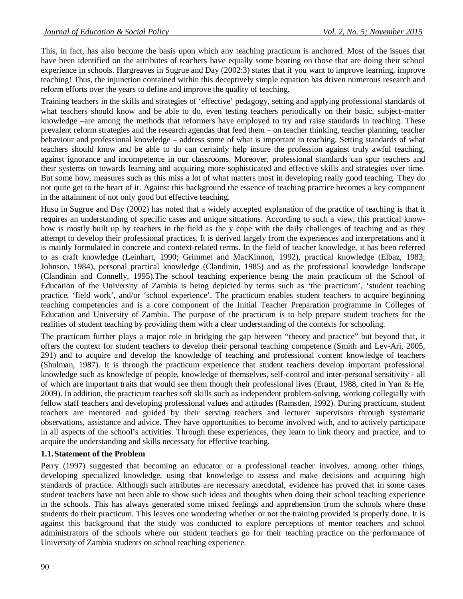This, in fact, has also become the basis upon which any teaching practicum is anchored. Most of the issues that have been identified on the attributes of teachers have equally some bearing on those that are doing their school experience in schools. Hargreaves in Sugrue and Day (2002:3) states that if you want to improve learning, improve teaching! Thus, the injunction contained within this deceptively simple equation has driven numerous research and reform efforts over the years to define and improve the quality of teaching.

Training teachers in the skills and strategies of 'effective' pedagogy, setting and applying professional standards of what teachers should know and be able to do, even testing teachers periodically on their basic, subject-matter knowledge –are among the methods that reformers have employed to try and raise standards in teaching. These prevalent reform strategies and the research agendas that feed them – on teacher thinking, teacher planning, teacher behaviour and professional knowledge – address some of what is important in teaching. Setting standards of what teachers should know and be able to do can certainly help insure the profession against truly awful teaching, against ignorance and incompetence in our classrooms. Moreover, professional standards can spur teachers and their systems on towards learning and acquiring more sophisticated and effective skills and strategies over time. But some how, measures such as this miss a lot of what matters most in developing really good teaching. They do not quite get to the heart of it. Against this background the essence of teaching practice becomes a key component in the attainment of not only good but effective teaching.

Husu in Sugrue and Day (2002) has noted that a widely accepted explanation of the practice of teaching is that it requires an understanding of specific cases and unique situations. According to such a view, this practical knowhow is mostly built up by teachers in the field as the y cope with the daily challenges of teaching and as they attempt to develop their professional practices. It is derived largely from the experiences and interpretations and it is mainly formulated in concrete and context-related terms. In the field of teacher knowledge, it has been referred to as craft knowledge (Leinhart, 1990; Grimmet and MacKinnon, 1992), practical knowledge (Elbaz, 1983; Johnson, 1984), personal practical knowledge (Clandinin, 1985) and as the professional knowledge landscape (Clandinin and Connelly, 1995).The school teaching experience being the main practicum of the School of Education of the University of Zambia is being depicted by terms such as 'the practicum', 'student teaching practice, 'field work', and/or 'school experience'. The practicum enables student teachers to acquire beginning teaching competencies and is a core component of the Initial Teacher Preparation programme in Colleges of Education and University of Zambia. The purpose of the practicum is to help prepare student teachers for the realities of student teaching by providing them with a clear understanding of the contexts for schooling.

The practicum further plays a major role in bridging the gap between "theory and practice" but beyond that, it offers the context for student teachers to develop their personal teaching competence (Smith and Lev-Ari, 2005, 291) and to acquire and develop the knowledge of teaching and professional content knowledge of teachers (Shulman, 1987). It is through the practicum experience that student teachers develop important professional knowledge such as knowledge of people, knowledge of themselves, self-control and inter-personal sensitivity - all of which are important traits that would see them though their professional lives (Eraut, 1988, cited in Yan & He, 2009). In addition, the practicum teaches soft skills such as independent problem-solving, working collegially with fellow staff teachers and developing professional values and attitudes (Ramsden, 1992). During practicum, student teachers are mentored and guided by their serving teachers and lecturer supervisors through systematic observations, assistance and advice. They have opportunities to become involved with, and to actively participate in all aspects of the school's activities. Through these experiences, they learn to link theory and practice, and to acquire the understanding and skills necessary for effective teaching.

### **1.1.Statement of the Problem**

Perry (1997) suggested that becoming an educator or a professional teacher involves, among other things, developing specialized knowledge, using that knowledge to assess and make decisions and acquiring high standards of practice. Although such attributes are necessary anecdotal, evidence has proved that in some cases student teachers have not been able to show such ideas and thoughts when doing their school teaching experience in the schools. This has always generated some mixed feelings and apprehension from the schools where these students do their practicum. This leaves one wondering whether or not the training provided is properly done. It is against this background that the study was conducted to explore perceptions of mentor teachers and school administrators of the schools where our student teachers go for their teaching practice on the performance of University of Zambia students on school teaching experience.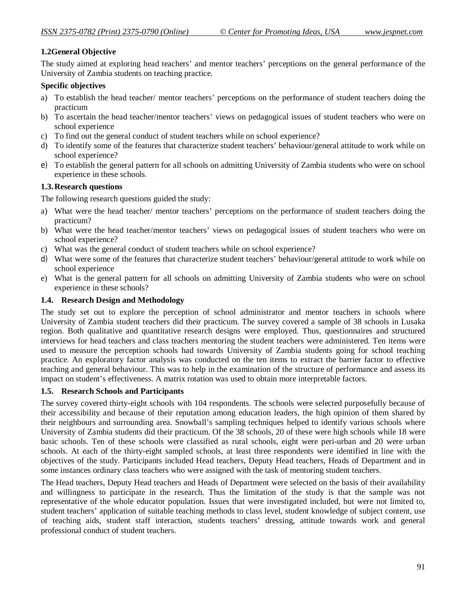### **1.2General Objective**

The study aimed at exploring head teachers' and mentor teachers' perceptions on the general performance of the University of Zambia students on teaching practice.

#### **Specific objectives**

- a) To establish the head teacher/ mentor teachers' perceptions on the performance of student teachers doing the practicum
- b) To ascertain the head teacher/mentor teachers' views on pedagogical issues of student teachers who were on school experience
- c) To find out the general conduct of student teachers while on school experience?
- d) To identify some of the features that characterize student teachers' behaviour/general attitude to work while on school experience?
- e) To establish the general pattern for all schools on admitting University of Zambia students who were on school experience in these schools.

#### **1.3.Research questions**

The following research questions guided the study:

- a) What were the head teacher/ mentor teachers' perceptions on the performance of student teachers doing the practicum?
- b) What were the head teacher/mentor teachers' views on pedagogical issues of student teachers who were on school experience?
- c) What was the general conduct of student teachers while on school experience?
- d) What were some of the features that characterize student teachers' behaviour/general attitude to work while on school experience
- e) What is the general pattern for all schools on admitting University of Zambia students who were on school experience in these schools?

#### **1.4. Research Design and Methodology**

The study set out to explore the perception of school administrator and mentor teachers in schools where University of Zambia student teachers did their practicum. The survey covered a sample of 38 schools in Lusaka region. Both qualitative and quantitative research designs were employed. Thus, questionnaires and structured interviews for head teachers and class teachers mentoring the student teachers were administered. Ten items were used to measure the perception schools had towards University of Zambia students going for school teaching practice. An exploratory factor analysis was conducted on the ten items to extract the barrier factor to effective teaching and general behaviour. This was to help in the examination of the structure of performance and assess its impact on student's effectiveness. A matrix rotation was used to obtain more interpretable factors.

#### **1.5. Research Schools and Participants**

The survey covered thirty-eight schools with 104 respondents. The schools were selected purposefully because of their accessibility and because of their reputation among education leaders, the high opinion of them shared by their neighbours and surrounding area. Snowball's sampling techniques helped to identify various schools where University of Zambia students did their practicum. Of the 38 schools, 20 of these were high schools while 18 were basic schools. Ten of these schools were classified as rural schools, eight were peri-urban and 20 were urban schools. At each of the thirty-eight sampled schools, at least three respondents were identified in line with the objectives of the study. Participants included Head teachers, Deputy Head teachers, Heads of Department and in some instances ordinary class teachers who were assigned with the task of mentoring student teachers.

The Head teachers, Deputy Head teachers and Heads of Department were selected on the basis of their availability and willingness to participate in the research. Thus the limitation of the study is that the sample was not representative of the whole educator population. Issues that were investigated included, but were not limited to, student teachers' application of suitable teaching methods to class level, student knowledge of subject content, use of teaching aids, student staff interaction, students teachers' dressing, attitude towards work and general professional conduct of student teachers.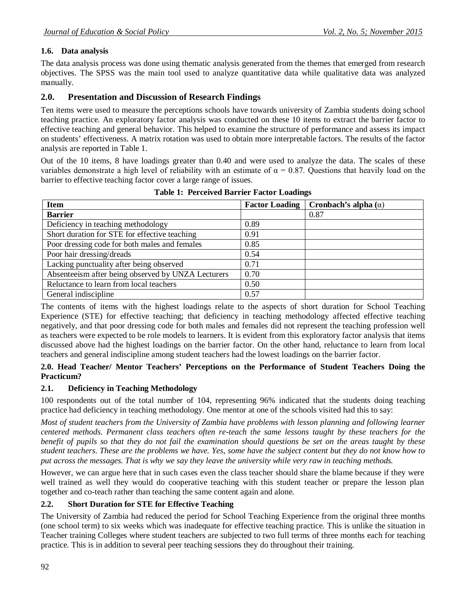# **1.6. Data analysis**

The data analysis process was done using thematic analysis generated from the themes that emerged from research objectives. The SPSS was the main tool used to analyze quantitative data while qualitative data was analyzed manually.

# **2.0. Presentation and Discussion of Research Findings**

Ten items were used to measure the perceptions schools have towards university of Zambia students doing school teaching practice. An exploratory factor analysis was conducted on these 10 items to extract the barrier factor to effective teaching and general behavior. This helped to examine the structure of performance and assess its impact on students' effectiveness. A matrix rotation was used to obtain more interpretable factors. The results of the factor analysis are reported in Table 1.

Out of the 10 items, 8 have loadings greater than 0.40 and were used to analyze the data. The scales of these variables demonstrate a high level of reliability with an estimate of  $\alpha = 0.87$ . Questions that heavily load on the barrier to effective teaching factor cover a large range of issues.

| <b>Item</b>                                        | <b>Factor Loading</b> | Cronbach's alpha $(\alpha)$ |
|----------------------------------------------------|-----------------------|-----------------------------|
| <b>Barrier</b>                                     |                       | 0.87                        |
| Deficiency in teaching methodology                 | 0.89                  |                             |
| Short duration for STE for effective teaching      | 0.91                  |                             |
| Poor dressing code for both males and females      | 0.85                  |                             |
| Poor hair dressing/dreads                          | 0.54                  |                             |
| Lacking punctuality after being observed           | 0.71                  |                             |
| Absenteeism after being observed by UNZA Lecturers | 0.70                  |                             |
| Reluctance to learn from local teachers            | 0.50                  |                             |
| General indiscipline                               | 0.57                  |                             |

**Table 1: Perceived Barrier Factor Loadings**

The contents of items with the highest loadings relate to the aspects of short duration for School Teaching Experience (STE) for effective teaching; that deficiency in teaching methodology affected effective teaching negatively, and that poor dressing code for both males and females did not represent the teaching profession well as teachers were expected to be role models to learners. It is evident from this exploratory factor analysis that items discussed above had the highest loadings on the barrier factor. On the other hand, reluctance to learn from local teachers and general indiscipline among student teachers had the lowest loadings on the barrier factor.

#### **2.0. Head Teacher/ Mentor Teachers' Perceptions on the Performance of Student Teachers Doing the Practicum?**

### **2.1. Deficiency in Teaching Methodology**

100 respondents out of the total number of 104, representing 96% indicated that the students doing teaching practice had deficiency in teaching methodology. One mentor at one of the schools visited had this to say:

*Most of student teachers from the University of Zambia have problems with lesson planning and following learner centered methods. Permanent class teachers often re-teach the same lessons taught by these teachers for the benefit of pupils so that they do not fail the examination should questions be set on the areas taught by these student teachers. These are the problems we have. Yes, some have the subject content but they do not know how to put across the messages. That is why we say they leave the university while very raw in teaching methods.*

However, we can argue here that in such cases even the class teacher should share the blame because if they were well trained as well they would do cooperative teaching with this student teacher or prepare the lesson plan together and co-teach rather than teaching the same content again and alone.

### **2.2. Short Duration for STE for Effective Teaching**

The University of Zambia had reduced the period for School Teaching Experience from the original three months (one school term) to six weeks which was inadequate for effective teaching practice. This is unlike the situation in Teacher training Colleges where student teachers are subjected to two full terms of three months each for teaching practice. This is in addition to several peer teaching sessions they do throughout their training.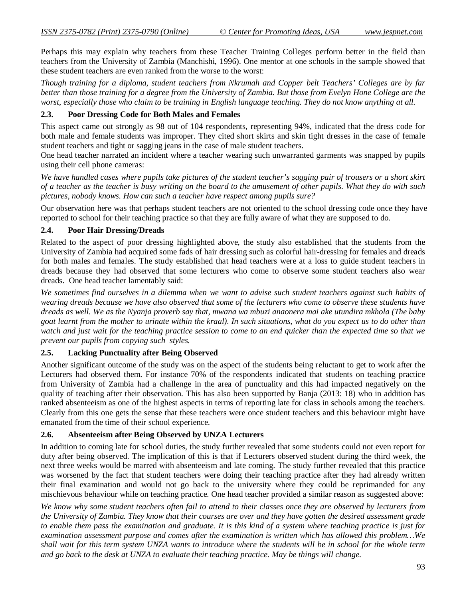Perhaps this may explain why teachers from these Teacher Training Colleges perform better in the field than teachers from the University of Zambia (Manchishi, 1996). One mentor at one schools in the sample showed that these student teachers are even ranked from the worse to the worst:

*Though training for a diploma, student teachers from Nkrumah and Copper belt Teachers' Colleges are by far better than those training for a degree from the University of Zambia. But those from Evelyn Hone College are the worst, especially those who claim to be training in English language teaching. They do not know anything at all.*

#### **2.3. Poor Dressing Code for Both Males and Females**

This aspect came out strongly as 98 out of 104 respondents, representing 94%, indicated that the dress code for both male and female students was improper. They cited short skirts and skin tight dresses in the case of female student teachers and tight or sagging jeans in the case of male student teachers.

One head teacher narrated an incident where a teacher wearing such unwarranted garments was snapped by pupils using their cell phone cameras:

*We have handled cases where pupils take pictures of the student teacher's sagging pair of trousers or a short skirt of a teacher as the teacher is busy writing on the board to the amusement of other pupils. What they do with such pictures, nobody knows. How can such a teacher have respect among pupils sure?*

Our observation here was that perhaps student teachers are not oriented to the school dressing code once they have reported to school for their teaching practice so that they are fully aware of what they are supposed to do.

#### **2.4. Poor Hair Dressing/Dreads**

Related to the aspect of poor dressing highlighted above, the study also established that the students from the University of Zambia had acquired some fads of hair dressing such as colorful hair-dressing for females and dreads for both males and females. The study established that head teachers were at a loss to guide student teachers in dreads because they had observed that some lecturers who come to observe some student teachers also wear dreads. One head teacher lamentably said:

*We sometimes find ourselves in a dilemma when we want to advise such student teachers against such habits of wearing dreads because we have also observed that some of the lecturers who come to observe these students have dreads as well. We as the Nyanja proverb say that, mwana wa mbuzi anaonera mai ake utundira mkhola (The baby goat learnt from the mother to urinate within the kraal). In such situations, what do you expect us to do other than watch and just wait for the teaching practice session to come to an end quicker than the expected time so that we prevent our pupils from copying such styles.*

#### **2.5. Lacking Punctuality after Being Observed**

Another significant outcome of the study was on the aspect of the students being reluctant to get to work after the Lecturers had observed them. For instance 70% of the respondents indicated that students on teaching practice from University of Zambia had a challenge in the area of punctuality and this had impacted negatively on the quality of teaching after their observation. This has also been supported by Banja (2013: 18) who in addition has ranked absenteeism as one of the highest aspects in terms of reporting late for class in schools among the teachers. Clearly from this one gets the sense that these teachers were once student teachers and this behaviour might have emanated from the time of their school experience.

#### **2.6. Absenteeism after Being Observed by UNZA Lecturers**

In addition to coming late for school duties, the study further revealed that some students could not even report for duty after being observed. The implication of this is that if Lecturers observed student during the third week, the next three weeks would be marred with absenteeism and late coming. The study further revealed that this practice was worsened by the fact that student teachers were doing their teaching practice after they had already written their final examination and would not go back to the university where they could be reprimanded for any mischievous behaviour while on teaching practice. One head teacher provided a similar reason as suggested above:

*We know why some student teachers often fail to attend to their classes once they are observed by lecturers from the University of Zambia. They know that their courses are over and they have gotten the desired assessment grade to enable them pass the examination and graduate. It is this kind of a system where teaching practice is just for examination assessment purpose and comes after the examination is written which has allowed this problem…We shall wait for this term system UNZA wants to introduce where the students will be in school for the whole term and go back to the desk at UNZA to evaluate their teaching practice. May be things will change.*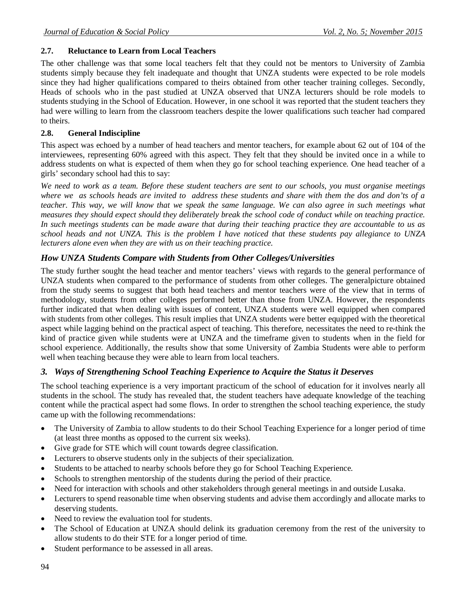### **2.7. Reluctance to Learn from Local Teachers**

The other challenge was that some local teachers felt that they could not be mentors to University of Zambia students simply because they felt inadequate and thought that UNZA students were expected to be role models since they had higher qualifications compared to theirs obtained from other teacher training colleges. Secondly, Heads of schools who in the past studied at UNZA observed that UNZA lecturers should be role models to students studying in the School of Education. However, in one school it was reported that the student teachers they had were willing to learn from the classroom teachers despite the lower qualifications such teacher had compared to theirs.

# **2.8. General Indiscipline**

This aspect was echoed by a number of head teachers and mentor teachers, for example about 62 out of 104 of the interviewees, representing 60% agreed with this aspect. They felt that they should be invited once in a while to address students on what is expected of them when they go for school teaching experience. One head teacher of a girls' secondary school had this to say:

*We need to work as a team. Before these student teachers are sent to our schools, you must organise meetings where we as schools heads are invited to address these students and share with them the dos and don'ts of a teacher. This way, we will know that we speak the same language. We can also agree in such meetings what measures they should expect should they deliberately break the school code of conduct while on teaching practice. In such meetings students can be made aware that during their teaching practice they are accountable to us as school heads and not UNZA. This is the problem I have noticed that these students pay allegiance to UNZA lecturers alone even when they are with us on their teaching practice.*

# *How UNZA Students Compare with Students from Other Colleges/Universities*

The study further sought the head teacher and mentor teachers' views with regards to the general performance of UNZA students when compared to the performance of students from other colleges. The generalpicture obtained from the study seems to suggest that both head teachers and mentor teachers were of the view that in terms of methodology, students from other colleges performed better than those from UNZA. However, the respondents further indicated that when dealing with issues of content, UNZA students were well equipped when compared with students from other colleges. This result implies that UNZA students were better equipped with the theoretical aspect while lagging behind on the practical aspect of teaching. This therefore, necessitates the need to re-think the kind of practice given while students were at UNZA and the timeframe given to students when in the field for school experience. Additionally, the results show that some University of Zambia Students were able to perform well when teaching because they were able to learn from local teachers.

# *3. Ways of Strengthening School Teaching Experience to Acquire the Status it Deserves*

The school teaching experience is a very important practicum of the school of education for it involves nearly all students in the school. The study has revealed that, the student teachers have adequate knowledge of the teaching content while the practical aspect had some flows. In order to strengthen the school teaching experience, the study came up with the following recommendations:

- The University of Zambia to allow students to do their School Teaching Experience for a longer period of time (at least three months as opposed to the current six weeks).
- Give grade for STE which will count towards degree classification.
- Lecturers to observe students only in the subjects of their specialization.
- Students to be attached to nearby schools before they go for School Teaching Experience.
- Schools to strengthen mentorship of the students during the period of their practice.
- Need for interaction with schools and other stakeholders through general meetings in and outside Lusaka.
- Lecturers to spend reasonable time when observing students and advise them accordingly and allocate marks to deserving students.
- Need to review the evaluation tool for students.
- The School of Education at UNZA should delink its graduation ceremony from the rest of the university to allow students to do their STE for a longer period of time.
- Student performance to be assessed in all areas.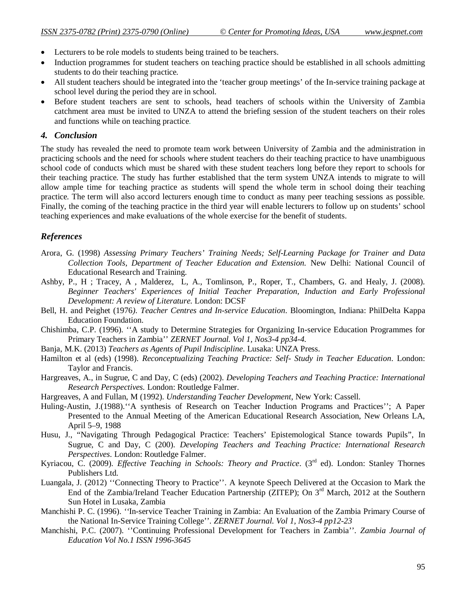- Lecturers to be role models to students being trained to be teachers.
- Induction programmes for student teachers on teaching practice should be established in all schools admitting students to do their teaching practice.
- All student teachers should be integrated into the 'teacher group meetings' of the In-service training package at school level during the period they are in school.
- Before student teachers are sent to schools, head teachers of schools within the University of Zambia catchment area must be invited to UNZA to attend the briefing session of the student teachers on their roles and functions while on teaching practice.

### *4. Conclusion*

The study has revealed the need to promote team work between University of Zambia and the administration in practicing schools and the need for schools where student teachers do their teaching practice to have unambiguous school code of conducts which must be shared with these student teachers long before they report to schools for their teaching practice. The study has further established that the term system UNZA intends to migrate to will allow ample time for teaching practice as students will spend the whole term in school doing their teaching practice. The term will also accord lecturers enough time to conduct as many peer teaching sessions as possible. Finally, the coming of the teaching practice in the third year will enable lecturers to follow up on students' school teaching experiences and make evaluations of the whole exercise for the benefit of students.

# *References*

- Arora, G. (1998) *Assessing Primary Teachers' Training Needs; Self-Learning Package for Trainer and Data Collection Tools, Department of Teacher Education and Extension.* New Delhi: National Council of Educational Research and Training.
- Ashby, P., H ; Tracey, A , Malderez, L, A., Tomlinson, P., Roper, T., Chambers, G. and Healy, J. (2008). *Beginner Teachers' Experiences of Initial Teacher Preparation, Induction and Early Professional Development: A review of Literature.* London: DCSF
- Bell, H. and Peighet (1976*). Teacher Centres and In-service Education*. Bloomington, Indiana: PhilDelta Kappa Education Foundation.
- Chishimba, C.P. (1996). ''A study to Determine Strategies for Organizing In-service Education Programmes for Primary Teachers in Zambia'' *ZERNET Journal. Vol 1, Nos3-4 pp34-4.*
- Banja, M.K. (2013) *Teachers as Agents of Pupil Indiscipline*. Lusaka: UNZA Press.
- Hamilton et al (eds) (1998). *Reconceptualizing Teaching Practice: Self- Study in Teacher Education*. London: Taylor and Francis.
- Hargreaves, A., in Sugrue, C and Day, C (eds) (2002). *Developing Teachers and Teaching Practice: International Research Perspectives.* London: Routledge Falmer.
- Hargreaves, A and Fullan, M (1992). *Understanding Teacher Development*, New York: Cassell.
- Huling-Austin, J.(1988).''A synthesis of Research on Teacher Induction Programs and Practices''; A Paper Presented to the Annual Meeting of the American Educational Research Association, New Orleans LA, April 5–9, 1988
- Husu, J., "Navigating Through Pedagogical Practice: Teachers' Epistemological Stance towards Pupils", In Sugrue, C and Day, C (200). *Developing Teachers and Teaching Practice: International Research Perspectives*. London: Routledge Falmer.
- Kyriacou, C. (2009). *Effective Teaching in Schools: Theory and Practice*. (3<sup>rd</sup> ed). London: Stanley Thornes Publishers Ltd.
- Luangala, J. (2012) ''Connecting Theory to Practice''. A keynote Speech Delivered at the Occasion to Mark the End of the Zambia/Ireland Teacher Education Partnership (ZITEP); On 3<sup>rd</sup> March, 2012 at the Southern Sun Hotel in Lusaka, Zambia
- Manchishi P. C. (1996). *''*In-service Teacher Training in Zambia: An Evaluation of the Zambia Primary Course of the National In-Service Training College''*. ZERNET Journal. Vol 1, Nos3-4 pp12-23*
- Manchishi, P.C. (2007). ''Continuing Professional Development for Teachers in Zambia''*. Zambia Journal of Education Vol No.1 ISSN 1996-3645*